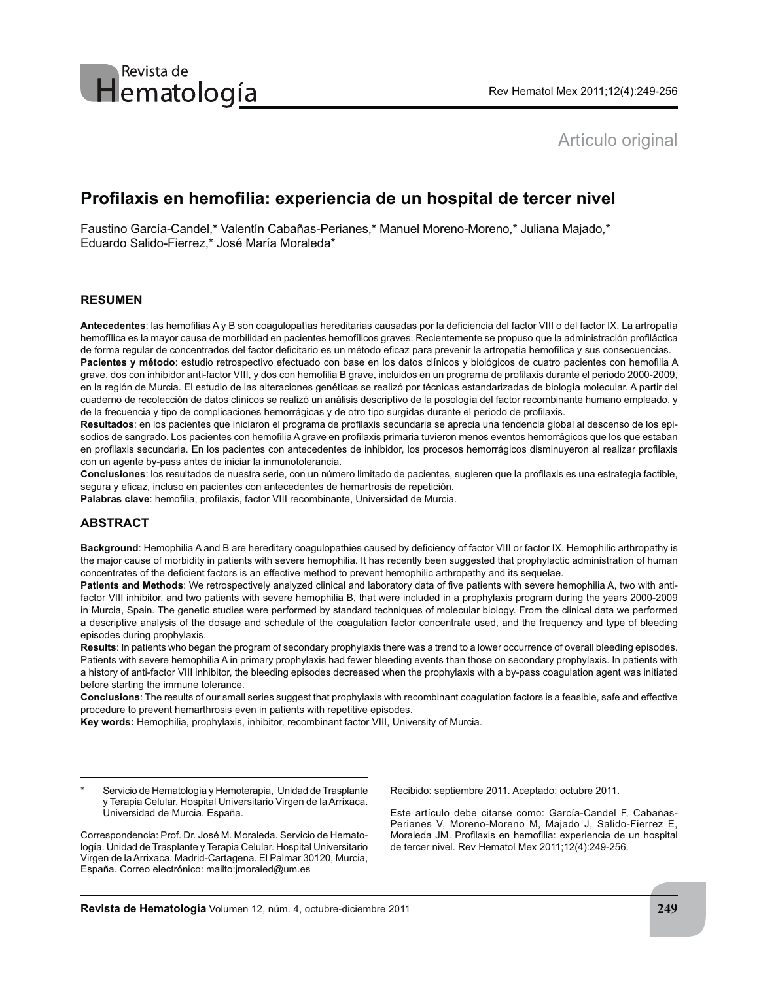# Artículo original

# **Profilaxis en hemofilia: experiencia de un hospital de tercer nivel**

Faustino García-Candel,\* Valentín Cabañas-Perianes,\* Manuel Moreno-Moreno,\* Juliana Majado,\* Eduardo Salido-Fierrez,\* José María Moraleda\*

## **RESUMEN**

Antecedentes: las hemofilias A y B son coagulopatías hereditarias causadas por la deficiencia del factor VIII o del factor IX. La artropatía hemofílica es la mayor causa de morbilidad en pacientes hemofílicos graves. Recientemente se propuso que la administración profiláctica de forma regular de concentrados del factor deficitario es un método eficaz para prevenir la artropatía hemofílica y sus consecuencias. Pacientes y método: estudio retrospectivo efectuado con base en los datos clínicos y biológicos de cuatro pacientes con hemofilia A

grave, dos con inhibidor anti-factor VIII, y dos con hemofilia B grave, incluidos en un programa de profilaxis durante el periodo 2000-2009, en la región de Murcia. El estudio de las alteraciones genéticas se realizó por técnicas estandarizadas de biología molecular. A partir del cuaderno de recolección de datos clínicos se realizó un análisis descriptivo de la posología del factor recombinante humano empleado, y de la frecuencia y tipo de complicaciones hemorrágicas y de otro tipo surgidas durante el periodo de profilaxis.

Resultados: en los pacientes que iniciaron el programa de profilaxis secundaria se aprecia una tendencia global al descenso de los episodios de sangrado. Los pacientes con hemofilia A grave en profilaxis primaria tuvieron menos eventos hemorrágicos que los que estaban en profilaxis secundaria. En los pacientes con antecedentes de inhibidor, los procesos hemorrágicos disminuyeron al realizar profilaxis con un agente by-pass antes de iniciar la inmunotolerancia.

Conclusiones: los resultados de nuestra serie, con un número limitado de pacientes, sugieren que la profilaxis es una estrategia factible, sequra y eficaz, incluso en pacientes con antecedentes de hemartrosis de repetición.

Palabras clave: hemofilia, profilaxis, factor VIII recombinante, Universidad de Murcia.

## **ABSTRACT**

Background: Hemophilia A and B are hereditary coagulopathies caused by deficiency of factor VIII or factor IX. Hemophilic arthropathy is the major cause of morbidity in patients with severe hemophilia. It has recently been suggested that prophylactic administration of human concentrates of the deficient factors is an effective method to prevent hemophilic arthropathy and its sequelae.

Patients and Methods: We retrospectively analyzed clinical and laboratory data of five patients with severe hemophilia A, two with antifactor VIII inhibitor, and two patients with severe hemophilia B, that were included in a prophylaxis program during the years 2000-2009 in Murcia, Spain. The genetic studies were performed by standard techniques of molecular biology. From the clinical data we performed a descriptive analysis of the dosage and schedule of the coagulation factor concentrate used, and the frequency and type of bleeding episodes during prophylaxis.

**Results**: In patients who began the program of secondary prophylaxis there was a trend to a lower occurrence of overall bleeding episodes. Patients with severe hemophilia A in primary prophylaxis had fewer bleeding events than those on secondary prophylaxis. In patients with a history of anti-factor VIII inhibitor, the bleeding episodes decreased when the prophylaxis with a by-pass coagulation agent was initiated before starting the immune tolerance.

**Conclusions**: The results of our small series suggest that prophylaxis with recombinant coagulation factors is a feasible, safe and effective procedure to prevent hemarthrosis even in patients with repetitive episodes.

**Key words:** Hemophilia, prophylaxis, inhibitor, recombinant factor VIII, University of Murcia.

Recibido: septiembre 2011. Aceptado: octubre 2011.

Este artículo debe citarse como: García-Candel F, Cabañas-Perianes V, Moreno-Moreno M, Majado J, Salido-Fierrez E, Moraleda JM. Profilaxis en hemofilia: experiencia de un hospital de tercer nivel. Rev Hematol Mex 2011;12(4):249-256.

Servicio de Hematología y Hemoterapia, Unidad de Trasplante y Terapia Celular, Hospital Universitario Virgen de la Arrixaca. Universidad de Murcia, España.

Correspondencia: Prof. Dr. José M. Moraleda. Servicio de Hematología. Unidad de Trasplante y Terapia Celular. Hospital Universitario Virgen de la Arrixaca. Madrid-Cartagena. El Palmar 30120, Murcia, España. Correo electrónico: mailto:jmoraled@um.es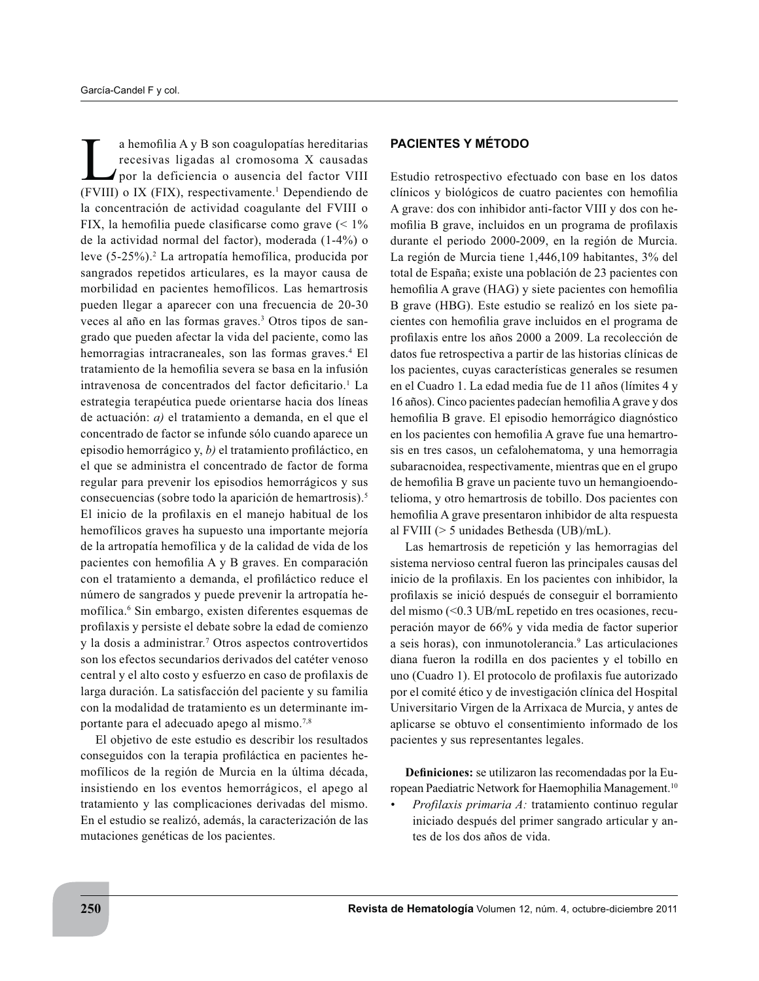a hemofilia A y B son coagulopatías hereditarias recesivas ligadas al cromosoma X causadas por la deficiencia o ausencia del factor VIII (FVIII) o IX (FIX), respectivamente.<sup>1</sup> Dependiendo de la concentración de actividad coagulante del FVIII o FIX, la hemofilia puede clasificarse como grave  $($  <  $1\%$ de la actividad normal del factor), moderada  $(1-4\%)$  o leve (5-25%).<sup>2</sup> La artropatía hemofílica, producida por sangrados repetidos articulares, es la mayor causa de morbilidad en pacientes hemofílicos. Las hemartrosis pueden llegar a aparecer con una frecuencia de 20-30 veces al año en las formas graves.<sup>3</sup> Otros tipos de sangrado que pueden afectar la vida del paciente, como las hemorragias intracraneales, son las formas graves.<sup>4</sup> El tratamiento de la hemofilia severa se basa en la infusión intravenosa de concentrados del factor deficitario.<sup>1</sup> La estrategia terapéutica puede orientarse hacia dos líneas de actuación: *a*) el tratamiento a demanda, en el que el concentrado de factor se infunde sólo cuando aparece un episodio hemorrágico y, b) el tratamiento profiláctico, en el que se administra el concentrado de factor de forma regular para prevenir los episodios hemorrágicos y sus consecuencias (sobre todo la aparición de hemartrosis).<sup>5</sup> El inicio de la profilaxis en el manejo habitual de los hemofílicos graves ha supuesto una importante mejoría de la artropatía hemofílica y de la calidad de vida de los pacientes con hemofilia A y B graves. En comparación con el tratamiento a demanda, el profiláctico reduce el número de sangrados y puede prevenir la artropatía hemofílica.<sup>6</sup> Sin embargo, existen diferentes esquemas de profilaxis y persiste el debate sobre la edad de comienzo y la dosis a administrar.<sup>7</sup> Otros aspectos controvertidos son los efectos secundarios derivados del catéter venoso central y el alto costo y esfuerzo en caso de profilaxis de larga duración. La satisfacción del paciente y su familia con la modalidad de tratamiento es un determinante importante para el adecuado apego al mismo.<sup>7,8</sup>

El objetivo de este estudio es describir los resultados conseguidos con la terapia profiláctica en pacientes hemofílicos de la región de Murcia en la última década, insistiendo en los eventos hemorrágicos, el apego al tratamiento y las complicaciones derivadas del mismo. En el estudio se realizó, además, la caracterización de las mutaciones genéticas de los pacientes.

## **PACIENTES Y MÉTODO**

Estudio retrospectivo efectuado con base en los datos clínicos y biológicos de cuatro pacientes con hemofilia A grave: dos con inhibidor anti-factor VIII y dos con hemofilia B grave, incluidos en un programa de profilaxis durante el periodo 2000-2009, en la región de Murcia. La región de Murcia tiene 1,446,109 habitantes, 3% del total de España; existe una población de 23 pacientes con hemofilia A grave (HAG) y siete pacientes con hemofilia B grave (HBG). Este estudio se realizó en los siete pacientes con hemofilia grave incluidos en el programa de profilaxis entre los años 2000 a 2009. La recolección de datos fue retrospectiva a partir de las historias clínicas de los pacientes, cuyas características generales se resumen en el Cuadro 1. La edad media fue de 11 años (límites 4 y 16 años). Cinco pacientes padecían hemofilia A grave y dos hemofilia B grave. El episodio hemorrágico diagnóstico en los pacientes con hemofilia A grave fue una hemartrosis en tres casos, un cefalohematoma, y una hemorragia subaracnoidea, respectivamente, mientras que en el grupo de hemofilia B grave un paciente tuvo un hemangioendotelioma, y otro hemartrosis de tobillo. Dos pacientes con hemofilia A grave presentaron inhibidor de alta respuesta al FVIII ( $> 5$  unidades Bethesda (UB)/mL).

Las hemartrosis de repetición y las hemorragias del sistema nervioso central fueron las principales causas del inicio de la profilaxis. En los pacientes con inhibidor, la profilaxis se inició después de conseguir el borramiento del mismo  $(< 0.3$  UB/mL repetido en tres ocasiones, recuperación mayor de  $66\%$  y vida media de factor superior a seis horas), con inmunotolerancia.<sup>9</sup> Las articulaciones diana fueron la rodilla en dos pacientes y el tobillo en uno (Cuadro 1). El protocolo de profilaxis fue autorizado por el comité ético y de investigación clínica del Hospital Universitario Virgen de la Arrixaca de Murcia, y antes de aplicarse se obtuvo el consentimiento informado de los pacientes y sus representantes legales.

**Definiciones:** se utilizaron las recomendadas por la European Paediatric Network for Haemophilia Management.<sup>10</sup>

*Profilaxis primaria A:* tratamiento continuo regular iniciado después del primer sangrado articular y antes de los dos años de vida.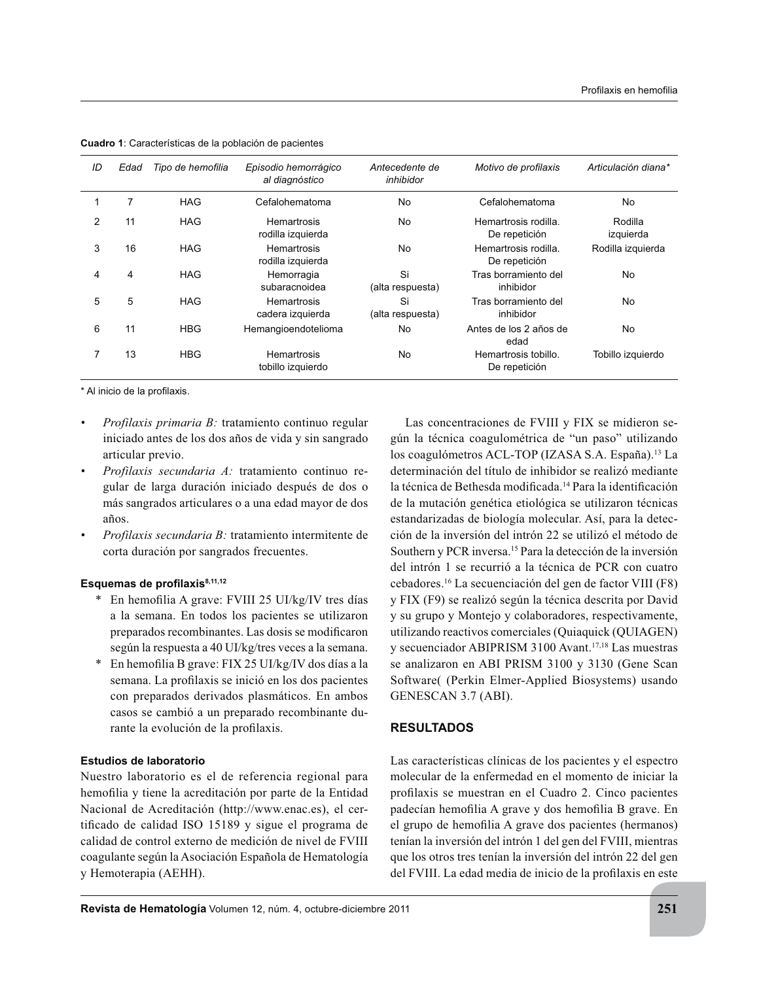| ID | Edad | Tipo de hemofilia | Episodio hemorrágico<br>al diagnóstico | Antecedente de<br>inhibidor | Motivo de profilaxis                  | Articulación diana*  |
|----|------|-------------------|----------------------------------------|-----------------------------|---------------------------------------|----------------------|
|    | 7    | <b>HAG</b>        | Cefalohematoma                         | No                          | Cefalohematoma                        | No                   |
| 2  | 11   | <b>HAG</b>        | Hemartrosis<br>rodilla izquierda       | No                          | Hemartrosis rodilla.<br>De repetición | Rodilla<br>izquierda |
| 3  | 16   | <b>HAG</b>        | Hemartrosis<br>rodilla izquierda       | No                          | Hemartrosis rodilla.<br>De repetición | Rodilla izquierda    |
| 4  | 4    | <b>HAG</b>        | Hemorragia<br>subaracnoidea            | Si<br>(alta respuesta)      | Tras borramiento del<br>inhibidor     | No                   |
| 5  | 5    | <b>HAG</b>        | Hemartrosis<br>cadera izquierda        | Si<br>(alta respuesta)      | Tras borramiento del<br>inhibidor     | No                   |
| 6  | 11   | <b>HBG</b>        | Hemangioendotelioma                    | No                          | Antes de los 2 años de<br>edad        | No                   |
|    | 13   | <b>HBG</b>        | Hemartrosis<br>tobillo izquierdo       | No                          | Hemartrosis tobillo.<br>De repetición | Tobillo izquierdo    |

**Cuadro 1**: Características de la población de pacientes

\* Al inicio de la profilaxis.

- *Profilaxis primaria B:* tratamiento continuo regular iniciado antes de los dos años de vida y sin sangrado articular previo.
- *Profilaxis secundaria A:* tratamiento continuo regular de larga duración iniciado después de dos o más sangrados articulares o a una edad mayor de dos años.
- *Profilaxis secundaria B:* tratamiento intermitente de corta duración por sangrados frecuentes.

## Esquemas de profilaxis<sup>8,11,12</sup>

- \* En hemofilia A grave: FVIII 25 UI/kg/IV tres días a la semana. En todos los pacientes se utilizaron preparados recombinantes. Las dosis se modificaron según la respuesta a 40 UI/kg/tres veces a la semana.
- \* En hemofilia B grave: FIX 25 UI/kg/IV dos días a la semana. La profilaxis se inició en los dos pacientes con preparados derivados plasmáticos. En ambos casos se cambió a un preparado recombinante durante la evolución de la profilaxis.

#### **Estudios de laboratorio**

Nuestro laboratorio es el de referencia regional para hemofilia y tiene la acreditación por parte de la Entidad Nacional de Acreditación (http://www.enac.es), el certificado de calidad ISO 15189 y sigue el programa de calidad de control externo de medición de nivel de FVIII coagulante según la Asociación Española de Hematología y Hemoterapia (AEHH).

Las concentraciones de FVIII y FIX se midieron según la técnica coagulométrica de "un paso" utilizando los coagulómetros ACL-TOP (IZASA S.A. España).<sup>13</sup> La determinación del título de inhibidor se realizó mediante la técnica de Bethesda modificada.<sup>14</sup> Para la identificación de la mutación genética etiológica se utilizaron técnicas estandarizadas de biología molecular. Así, para la detección de la inversión del intrón 22 se utilizó el método de Southern y PCR inversa.<sup>15</sup> Para la detección de la inversión del intrón 1 se recurrió a la técnica de PCR con cuatro cebadores.<sup>16</sup> La secuenciación del gen de factor VIII (F8) y FIX (F9) se realizó según la técnica descrita por David  $\vee$  Su grupo  $\vee$  Montejo  $\vee$  colaboradores, respectivamente, utilizando reactivos comerciales (Quiaquick (QUIAGEN) v secuenciador ABIPRISM 3100 Avant.<sup>17,18</sup> Las muestras se analizaron en ABI PRISM 3100 y 3130 (Gene Scan Software( (Perkin Elmer-Applied Biosystems) usando GENESCAN 3.7 (ABI).

## **RESULTADOS**

Las características clínicas de los pacientes y el espectro molecular de la enfermedad en el momento de iniciar la profilaxis se muestran en el Cuadro 2. Cinco pacientes padecían hemofilia A grave y dos hemofilia B grave. En el grupo de hemofilia A grave dos pacientes (hermanos) tenían la inversión del intrón 1 del gen del FVIII, mientras que los otros tres tenían la inversión del intrón 22 del gen del FVIII. La edad media de inicio de la profilaxis en este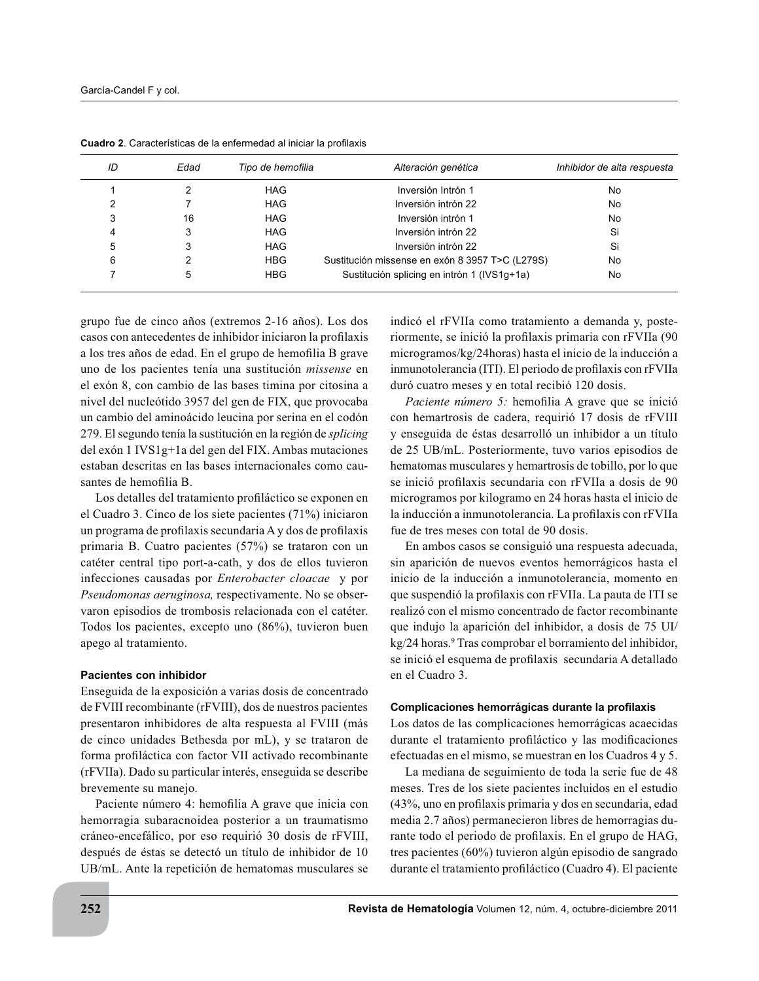| ID | Edad | Tipo de hemofilia | Alteración genética                             | Inhibidor de alta respuesta |
|----|------|-------------------|-------------------------------------------------|-----------------------------|
|    |      | <b>HAG</b>        | Inversión Intrón 1                              | No                          |
|    |      | <b>HAG</b>        | Inversión intrón 22                             | No                          |
| 3  | 16   | <b>HAG</b>        | Inversión intrón 1                              | No                          |
| 4  |      | <b>HAG</b>        | Inversión intrón 22                             | Si                          |
| 5  | 3    | <b>HAG</b>        | Inversión intrón 22                             | Si                          |
| 6  |      | <b>HBG</b>        | Sustitución missense en exón 8 3957 T>C (L279S) | No                          |
|    | 5    | <b>HBG</b>        | Sustitución splicing en intrón 1 (IVS1g+1a)     | No                          |

Cuadro 2. Características de la enfermedad al iniciar la profilaxis

grupo fue de cinco años (extremos 2-16 años). Los dos casos con antecedentes de inhibidor iniciaron la profilaxis a los tres años de edad. En el grupo de hemofilia B grave uno de los pacientes tenía una sustitución *missense* en el exón 8, con cambio de las bases timina por citosina a nivel del nucleótido 3957 del gen de FIX, que provocaba un cambio del aminoácido leucina por serina en el codón 279. El segundo tenía la sustitución en la región de *splicing* del exón 1 IVS1g+1a del gen del FIX. Ambas mutaciones estaban descritas en las bases internacionales como causantes de hemofilia B.

Los detalles del tratamiento profiláctico se exponen en el Cuadro 3. Cinco de los siete pacientes  $(71\%)$  iniciaron un programa de profilaxis secundaria A y dos de profilaxis primaria B. Cuatro pacientes (57%) se trataron con un catéter central tipo port-a-cath, y dos de ellos tuvieron infecciones causadas por *Enterobacter cloacae* y por *Pseudomonas aeruginosa,* respectivamente. No se observaron episodios de trombosis relacionada con el catéter. Todos los pacientes, excepto uno (86%), tuvieron buen apego al tratamiento.

### **Pacientes con inhibidor**

Enseguida de la exposición a varias dosis de concentrado de FVIII recombinante (rFVIII), dos de nuestros pacientes presentaron inhibidores de alta respuesta al FVIII (más de cinco unidades Bethesda por mL), y se trataron de forma profiláctica con factor VII activado recombinante (rFVIIa). Dado su particular interés, enseguida se describe brevemente su manejo.

Paciente número 4: hemofilia A grave que inicia con hemorragia subaracnoidea posterior a un traumatismo cráneo-encefálico, por eso requirió 30 dosis de rFVIII, después de éstas se detectó un título de inhibidor de 10 UB/mL. Ante la repetición de hematomas musculares se indicó el rFVIIa como tratamiento a demanda y, posteriormente, se inició la profilaxis primaria con rFVIIa (90) microgramos/kg/24horas) hasta el inicio de la inducción a inmunotolerancia (ITI). El periodo de profilaxis con rFVIIa duró cuatro meses y en total recibió 120 dosis.

*Paciente número 5:* hemofilia A grave que se inició con hemartrosis de cadera, requirió 17 dosis de rFVIII y enseguida de éstas desarrolló un inhibidor a un título de 25 UB/mL. Posteriormente, tuvo varios episodios de hematomas musculares y hemartrosis de tobillo, por lo que se inició profilaxis secundaria con rFVIIa a dosis de 90 microgramos por kilogramo en 24 horas hasta el inicio de la inducción a inmunotolerancia. La profilaxis con rFVIIa fue de tres meses con total de 90 dosis.

En ambos casos se consiguió una respuesta adecuada, sin aparición de nuevos eventos hemorrágicos hasta el inicio de la inducción a inmunotolerancia, momento en que suspendió la profilaxis con rFVIIa. La pauta de ITI se realizó con el mismo concentrado de factor recombinante que indujo la aparición del inhibidor, a dosis de 75 UI/ kg/24 horas.<sup>9</sup> Tras comprobar el borramiento del inhibidor, se inició el esquema de profilaxis secundaria A detallado en el Cuadro 3.

### Complicaciones hemorrágicas durante la profilaxis

Los datos de las complicaciones hemorrágicas acaecidas durante el tratamiento profiláctico y las modificaciones efectuadas en el mismo, se muestran en los Cuadros 4 y 5.

La mediana de seguimiento de toda la serie fue de 48 meses. Tres de los siete pacientes incluidos en el estudio  $(43\%$ , uno en profilaxis primaria y dos en secundaria, edad media 2.7 años) permanecieron libres de hemorragias durante todo el periodo de profilaxis. En el grupo de HAG, tres pacientes  $(60\%)$  tuvieron algún episodio de sangrado durante el tratamiento profiláctico (Cuadro 4). El paciente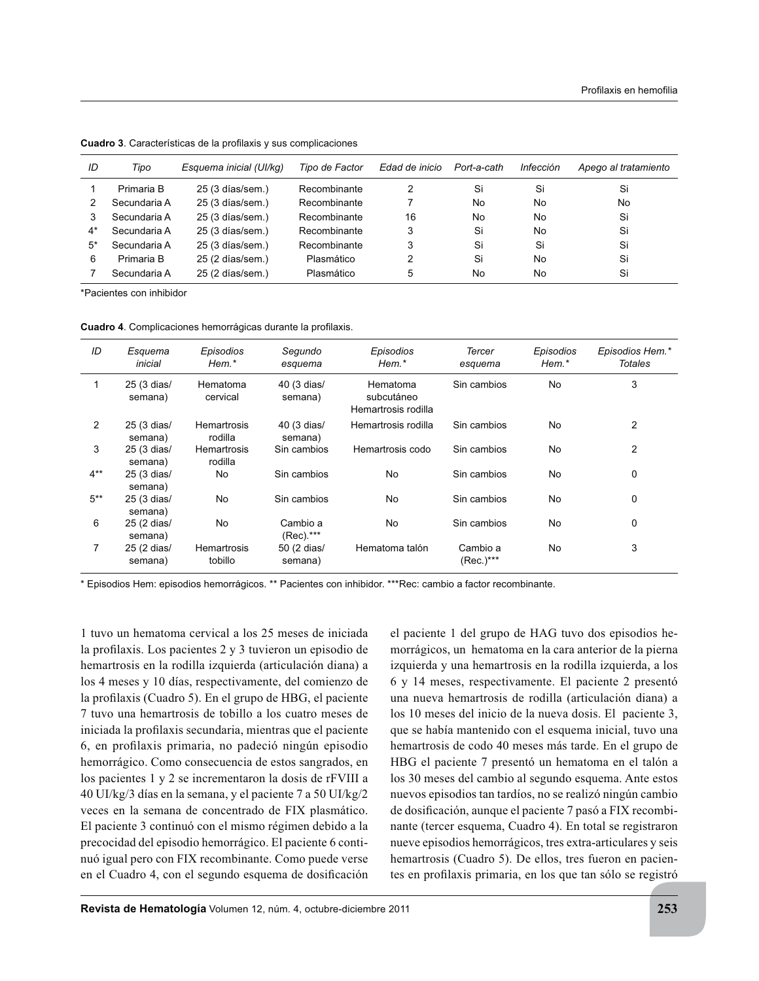| ID   | Tipo         | Esquema inicial (UI/kg) | Tipo de Factor | Edad de inicio | Port-a-cath | Infección | Apego al tratamiento |
|------|--------------|-------------------------|----------------|----------------|-------------|-----------|----------------------|
|      | Primaria B   | 25 (3 días/sem.)        | Recombinante   |                | Si          | Si        | Si                   |
|      | Secundaria A | 25 (3 días/sem.)        | Recombinante   |                | No          | No        | No                   |
|      | Secundaria A | 25 (3 días/sem.)        | Recombinante   | 16             | No          | No        | Si                   |
| 4*   | Secundaria A | 25 (3 días/sem.)        | Recombinante   | 3              | Si          | No        | Si                   |
| $5*$ | Secundaria A | 25 (3 días/sem.)        | Recombinante   |                | Si          | Si        | Si                   |
| 6    | Primaria B   | 25 (2 días/sem.)        | Plasmático     |                | Si          | No        | Si                   |
|      | Secundaria A | 25 (2 días/sem.)        | Plasmático     | 5              | No          | No        | Si                   |

Cuadro 3. Características de la profilaxis y sus complicaciones

\*Pacientes con inhibidor

Cuadro 4. Complicaciones hemorrágicas durante la profilaxis.

| ID     | Esquema<br>inicial     | Episodios<br>$H$ em. $*$ | Segundo<br>esquema     | Episodios<br>Hem.*                            | <b>Tercer</b><br>esquema | Episodios<br>Hem.* | Episodios Hem.*<br><b>Totales</b> |
|--------|------------------------|--------------------------|------------------------|-----------------------------------------------|--------------------------|--------------------|-----------------------------------|
|        | 25 (3 dias/<br>semana) | Hematoma<br>cervical     | 40 (3 dias/<br>semana) | Hematoma<br>subcutáneo<br>Hemartrosis rodilla | Sin cambios              | No.                | 3                                 |
| 2      | 25 (3 dias/<br>semana) | Hemartrosis<br>rodilla   | 40 (3 dias/<br>semana) | Hemartrosis rodilla                           | Sin cambios              | No                 | $\overline{2}$                    |
| 3      | 25 (3 dias/<br>semana) | Hemartrosis<br>rodilla   | Sin cambios            | Hemartrosis codo                              | Sin cambios              | No                 | 2                                 |
| $4***$ | 25 (3 dias/<br>semana) | No                       | Sin cambios            | No                                            | Sin cambios              | No                 | 0                                 |
| $5***$ | 25 (3 dias/<br>semana) | No                       | Sin cambios            | No                                            | Sin cambios              | No                 | 0                                 |
| 6      | 25 (2 dias/<br>semana) | No                       | Cambio a<br>(Rec).***  | No                                            | Sin cambios              | <b>No</b>          | 0                                 |
| 7      | 25 (2 dias/<br>semana) | Hemartrosis<br>tobillo   | 50 (2 dias/<br>semana) | Hematoma talón                                | Cambio a<br>$(Rec.)***$  | <b>No</b>          | 3                                 |

\* Episodios Hem: episodios hemorrágicos. \*\* Pacientes con inhibidor. \*\*\*Rec: cambio a factor recombinante.

1 tuvo un hematoma cervical a los 25 meses de iniciada la profilaxis. Los pacientes  $2 \text{ y } 3$  tuvieron un episodio de hemartrosis en la rodilla izquierda (articulación diana) a los 4 meses y 10 días, respectivamente, del comienzo de la profilaxis (Cuadro 5). En el grupo de HBG, el paciente 7 tuvo una hemartrosis de tobillo a los cuatro meses de iniciada la profilaxis secundaria, mientras que el paciente 6, en profilaxis primaria, no padeció ningún episodio hemorrágico. Como consecuencia de estos sangrados, en los pacientes 1 y 2 se incrementaron la dosis de rFVIII a 40 UI/kg/3 días en la semana, y el paciente 7 a 50 UI/kg/2 veces en la semana de concentrado de FIX plasmático. El paciente 3 continuó con el mismo régimen debido a la precocidad del episodio hemorrágico. El paciente 6 continuó igual pero con FIX recombinante. Como puede verse en el Cuadro 4, con el segundo esquema de dosificación

el paciente 1 del grupo de HAG tuvo dos episodios hemorrágicos, un hematoma en la cara anterior de la pierna izquierda y una hemartrosis en la rodilla izquierda, a los 6 y 14 meses, respectivamente. El paciente 2 presentó una nueva hemartrosis de rodilla (articulación diana) a los 10 meses del inicio de la nueva dosis. El paciente 3, que se había mantenido con el esquema inicial, tuvo una hemartrosis de codo 40 meses más tarde. En el grupo de HBG el paciente 7 presentó un hematoma en el talón a los 30 meses del cambio al segundo esquema. Ante estos nuevos episodios tan tardíos, no se realizó ningún cambio de dosificación, aunque el paciente 7 pasó a FIX recombinante (tercer esquema, Cuadro 4). En total se registraron nueve episodios hemorrágicos, tres extra-articulares y seis hemartrosis (Cuadro 5). De ellos, tres fueron en pacientes en profilaxis primaria, en los que tan sólo se registró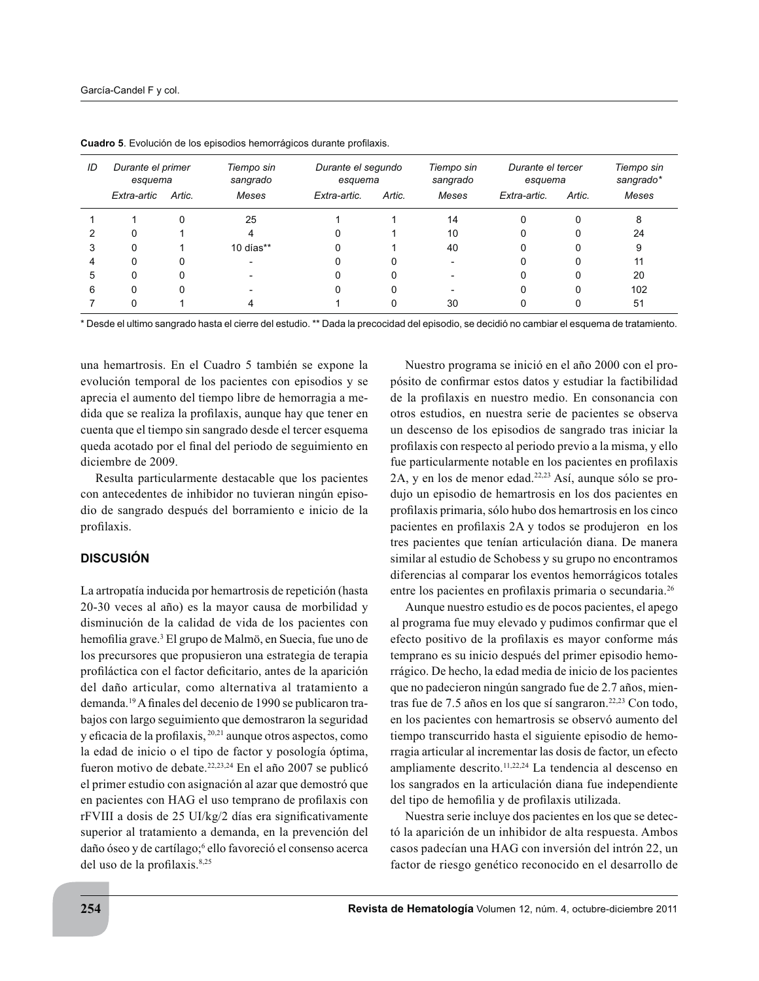| ID | Durante el primer<br>esquema |        | Tiempo sin<br>sangrado |              | Durante el segundo<br>esquema |       | Durante el tercer<br>esquema |        | Tiempo sin<br>sangrado* |
|----|------------------------------|--------|------------------------|--------------|-------------------------------|-------|------------------------------|--------|-------------------------|
|    | Extra-artic                  | Artic. | Meses                  | Extra-artic. | Artic.                        | Meses | Extra-artic.                 | Artic. | Meses                   |
|    |                              |        | 25                     |              |                               | 14    | 0                            |        | 8                       |
|    | O                            |        |                        |              |                               | 10    | 0                            |        | 24                      |
|    | 0                            |        | 10 días $**$           |              |                               | 40    | 0                            |        | 9                       |
|    | U                            |        |                        |              |                               |       |                              |        | 11                      |
|    |                              |        |                        |              |                               |       | 0                            |        | 20                      |
| 6  |                              |        |                        |              |                               |       | 0                            |        | 102                     |
|    |                              |        |                        |              |                               | 30    |                              |        | 51                      |

Cuadro 5. Evolución de los episodios hemorrágicos durante profilaxis.

\* Desde el ultimo sangrado hasta el cierre del estudio. \*\* Dada la precocidad del episodio, se decidió no cambiar el esquema de tratamiento.

una hemartrosis. En el Cuadro 5 también se expone la evolución temporal de los pacientes con episodios y se aprecia el aumento del tiempo libre de hemorragia a medida que se realiza la profilaxis, aunque hay que tener en cuenta que el tiempo sin sangrado desde el tercer esquema queda acotado por el final del periodo de seguimiento en diciembre de 2009.

Resulta particularmente destacable que los pacientes con antecedentes de inhibidor no tuvieran ningún episodio de sangrado después del borramiento e inicio de la profilaxis.

## **DISCUSIÓN**

La artropatía inducida por hemartrosis de repetición (hasta 20-30 veces al año) es la mayor causa de morbilidad y disminución de la calidad de vida de los pacientes con hemofilia grave.<sup>3</sup> El grupo de Malmö, en Suecia, fue uno de los precursores que propusieron una estrategia de terapia profiláctica con el factor deficitario, antes de la aparición del daño articular, como alternativa al tratamiento a demanda.<sup>19</sup> A finales del decenio de 1990 se publicaron trabajos con largo seguimiento que demostraron la seguridad y eficacia de la profilaxis, <sup>20,21</sup> aunque otros aspectos, como la edad de inicio o el tipo de factor y posología óptima, fueron motivo de debate.<sup>22,23,24</sup> En el año 2007 se publicó el primer estudio con asignación al azar que demostró que en pacientes con HAG el uso temprano de profilaxis con rFVIII a dosis de 25 UI/kg/2 días era significativamente superior al tratamiento a demanda, en la prevención del daño óseo y de cartílago;<sup>6</sup> ello favoreció el consenso acerca del uso de la profilaxis.<sup>8,25</sup>

Nuestro programa se inició en el año 2000 con el propósito de confirmar estos datos y estudiar la factibilidad de la profilaxis en nuestro medio. En consonancia con otros estudios, en nuestra serie de pacientes se observa un descenso de los episodios de sangrado tras iniciar la profilaxis con respecto al periodo previo a la misma, y ello fue particularmente notable en los pacientes en profilaxis 2A, y en los de menor edad.<sup>22,23</sup> Así, aunque sólo se produjo un episodio de hemartrosis en los dos pacientes en profilaxis primaria, sólo hubo dos hemartrosis en los cinco pacientes en profilaxis  $2A$  y todos se produjeron en los tres pacientes que tenían articulación diana. De manera similar al estudio de Schobess y su grupo no encontramos diferencias al comparar los eventos hemorrágicos totales entre los pacientes en profilaxis primaria o secundaria.<sup>26</sup>

Aunque nuestro estudio es de pocos pacientes, el apego al programa fue muy elevado y pudimos confirmar que el efecto positivo de la profilaxis es mayor conforme más temprano es su inicio después del primer episodio hemorrágico. De hecho, la edad media de inicio de los pacientes que no padecieron ningún sangrado fue de 2.7 años, mientras fue de 7.5 años en los que sí sangraron.<sup>22,23</sup> Con todo, en los pacientes con hemartrosis se observó aumento del tiempo transcurrido hasta el siguiente episodio de hemorragia articular al incrementar las dosis de factor, un efecto ampliamente descrito.<sup>11,22,24</sup> La tendencia al descenso en los sangrados en la articulación diana fue independiente del tipo de hemofilia y de profilaxis utilizada.

Nuestra serie incluye dos pacientes en los que se detectó la aparición de un inhibidor de alta respuesta. Ambos casos padecían una HAG con inversión del intrón 22, un factor de riesgo genético reconocido en el desarrollo de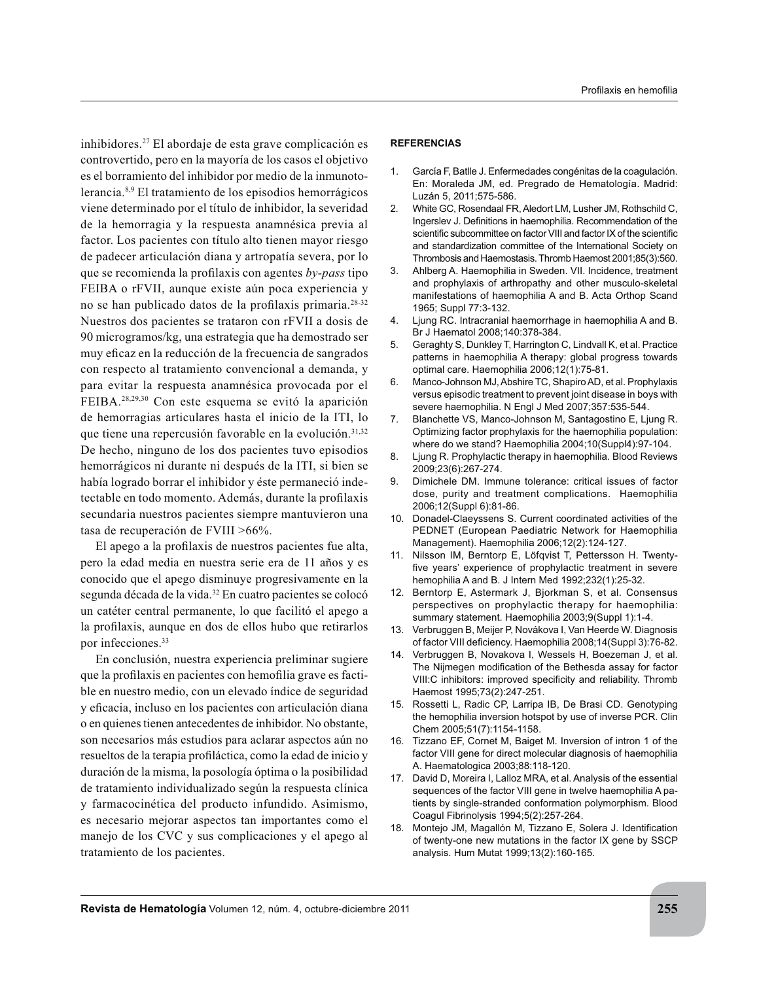inhibidores.<sup>27</sup> El abordaje de esta grave complicación es controvertido, pero en la mayoría de los casos el objetivo es el borramiento del inhibidor por medio de la inmunotolerancia.<sup>8,9</sup> El tratamiento de los episodios hemorrágicos viene determinado por el título de inhibidor, la severidad de la hemorragia y la respuesta anamnésica previa al factor. Los pacientes con título alto tienen mayor riesgo de padecer articulación diana y artropatía severa, por lo que se recomienda la profilaxis con agentes by-pass tipo FEIBA o rFVII, aunque existe aún poca experiencia y no se han publicado datos de la profilaxis primaria.<sup>28-32</sup> Nuestros dos pacientes se trataron con rFVII a dosis de 90 microgramos/kg, una estrategia que ha demostrado ser muy eficaz en la reducción de la frecuencia de sangrados con respecto al tratamiento convencional a demanda, y para evitar la respuesta anamnésica provocada por el FEIBA.<sup>28,29,30</sup> Con este esquema se evitó la aparición de hemorragias articulares hasta el inicio de la ITI, lo que tiene una repercusión favorable en la evolución.<sup>31,32</sup> De hecho, ninguno de los dos pacientes tuvo episodios hemorrágicos ni durante ni después de la ITI, si bien se había logrado borrar el inhibidor y éste permaneció indetectable en todo momento. Además, durante la profilaxis secundaria nuestros pacientes siempre mantuvieron una tasa de recuperación de FVIII  $>66\%$ .

El apego a la profilaxis de nuestros pacientes fue alta, pero la edad media en nuestra serie era de 11 años y es conocido que el apego disminuye progresivamente en la segunda década de la vida.<sup>32</sup> En cuatro pacientes se colocó un catéter central permanente, lo que facilitó el apego a la profilaxis, aunque en dos de ellos hubo que retirarlos por infecciones. $33$ 

En conclusión, nuestra experiencia preliminar sugiere que la profilaxis en pacientes con hemofilia grave es factible en nuestro medio, con un elevado índice de seguridad y eficacia, incluso en los pacientes con articulación diana o en quienes tienen antecedentes de inhibidor. No obstante, son necesarios más estudios para aclarar aspectos aún no resueltos de la terapia profiláctica, como la edad de inicio y duración de la misma, la posología óptima o la posibilidad de tratamiento individualizado según la respuesta clínica y farmacocinética del producto infundido. Asimismo, es necesario mejorar aspectos tan importantes como el manejo de los CVC y sus complicaciones y el apego al tratamiento de los pacientes.

#### Profilaxis en hemofilia

#### **REFERENCIAS**

- 1. García F, Batlle J. Enfermedades congénitas de la coagulación. En: Moraleda JM, ed. Pregrado de Hematología. Madrid: Luzán 5, 2011;575-586.
- 2. White GC, Rosendaal FR, Aledort LM, Lusher JM, Rothschild C, Ingerslev J. Definitions in haemophilia. Recommendation of the scientific subcommittee on factor VIII and factor IX of the scientific and standardization committee of the International Society on Thrombosis and Haemostasis. Thromb Haemost 2001;85(3):560.
- 3. Ahlberg A. Haemophilia in Sweden. VII. Incidence, treatment and prophylaxis of arthropathy and other musculo-skeletal manifestations of haemophilia A and B. Acta Orthop Scand 1965; Suppl 77:3-132.
- 4. Ljung RC. Intracranial haemorrhage in haemophilia A and B. Br J Haematol 2008;140:378-384.
- 5. Geraghty S, Dunkley T, Harrington C, Lindvall K, et al. Practice patterns in haemophilia A therapy: global progress towards optimal care. Haemophilia 2006;12(1):75-81.
- 6. Manco-Johnson MJ, Abshire TC, Shapiro AD, et al. Prophylaxis versus episodic treatment to prevent joint disease in boys with severe haemophilia. N Engl J Med 2007;357:535-544.
- 7. Blanchette VS, Manco-Johnson M, Santagostino E, Ljung R. Optimizing factor prophylaxis for the haemophilia population: where do we stand? Haemophilia 2004;10(Suppl4):97-104.
- 8. Ljung R. Prophylactic therapy in haemophilia. Blood Reviews 2009;23(6):267-274.
- 9. Dimichele DM. Immune tolerance: critical issues of factor dose, purity and treatment complications. Haemophilia 2006;12(Suppl 6):81-86.
- 10. Donadel-Claeyssens S. Current coordinated activities of the PEDNET (European Paediatric Network for Haemophilia Management). Haemophilia 2006;12(2):124-127.
- 11. Nilsson IM, Berntorp E, Löfqvist T, Pettersson H. Twenty five years' experience of prophylactic treatment in severe hemophilia A and B. J Intern Med 1992;232(1):25-32.
- 12. Berntorp E, Astermark J, Bjorkman S, et al. Consensus perspectives on prophylactic therapy for haemophilia: summary statement. Haemophilia 2003;9(Suppl 1):1-4.
- 13. Verbruggen B, Meijer P, Novákova I, Van Heerde W. Diagnosis of factor VIII deficiency. Haemophilia 2008;14(Suppl 3):76-82.
- 14. Verbruggen B, Novakova I, Wessels H, Boezeman J, et al. The Nijmegen modification of the Bethesda assay for factor VIII:C inhibitors: improved specificity and reliability. Thromb Haemost 1995;73(2):247-251.
- 15. Rossetti L, Radic CP, Larripa IB, De Brasi CD. Genotyping the hemophilia inversion hotspot by use of inverse PCR. Clin Chem 2005;51(7):1154-1158.
- 16. Tizzano EF, Cornet M, Baiget M. Inversion of intron 1 of the factor VIII gene for direct molecular diagnosis of haemophilia A. Haematologica 2003;88:118-120.
- 17. David D, Moreira I, Lalloz MRA, et al. Analysis of the essential sequences of the factor VIII gene in twelve haemophilia A patients by single-stranded conformation polymorphism. Blood Coagul Fibrinolysis 1994;5(2):257-264.
- 18. Montejo JM, Magallón M, Tizzano E, Solera J. Identification of twenty-one new mutations in the factor IX gene by SSCP analysis. Hum Mutat 1999;13(2):160-165.